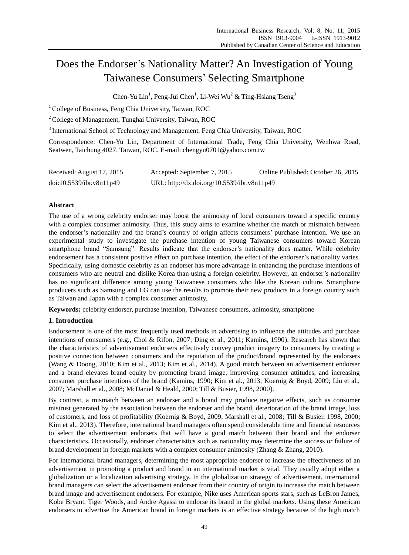# Does the Endorser's Nationality Matter? An Investigation of Young Taiwanese Consumers' Selecting Smartphone

Chen-Yu Lin<sup>1</sup>, Peng-Jui Chen<sup>1</sup>, Li-Wei Wu<sup>2</sup> & Ting-Hsiang Tseng<sup>3</sup>

<sup>1</sup> College of Business, Feng Chia University, Taiwan, ROC

<sup>2</sup> College of Management, Tunghai University, Taiwan, ROC

<sup>3</sup> International School of Technology and Management, Feng Chia University, Taiwan, ROC

Correspondence: Chen-Yu Lin, Department of International Trade, Feng Chia University, Wenhwa Road, Seatwen, Taichung 4027, Taiwan, ROC. E-mail: [chengyu0701@yahoo.com.tw](mailto:chengyu0701@yahoo.com.tw)

| Received: August 17, 2015 | Accepted: September 7, 2015                 | Online Published: October 26, 2015 |
|---------------------------|---------------------------------------------|------------------------------------|
| doi:10.5539/ibr.v8n11p49  | URL: http://dx.doi.org/10.5539/ibr.v8n11p49 |                                    |

# **Abstract**

The use of a wrong celebrity endorser may boost the animosity of local consumers toward a specific country with a complex consumer animosity. Thus, this study aims to examine whether the match or mismatch between the endorser's nationality and the brand's country of origin affects consumers' purchase intention. We use an experimental study to investigate the purchase intention of young Taiwanese consumers toward Korean smartphone brand "Samsung". Results indicate that the endorser's nationality does matter. While celebrity endorsement has a consistent positive effect on purchase intention, the effect of the endorser's nationality varies. Specifically, using domestic celebrity as an endorser has more advantage in enhancing the purchase intentions of consumers who are neutral and dislike Korea than using a foreign celebrity. However, an endorser's nationality has no significant difference among young Taiwanese consumers who like the Korean culture. Smartphone producers such as Samsung and LG can use the results to promote their new products in a foreign country such as Taiwan and Japan with a complex consumer animosity.

**Keywords:** celebrity endorser, purchase intention, Taiwanese consumers, animosity, smartphone

# **1. Introduction**

Endorsement is one of the most frequently used methods in advertising to influence the attitudes and purchase intentions of consumers (e.g., Choi & Rifon, 2007; Ding et al., 2011; Kamins, 1990). Research has shown that the characteristics of advertisement endorsers effectively convey product imagery to consumers by creating a positive connection between consumers and the reputation of the product/brand represented by the endorsers (Wang & Doong, 2010; Kim et al., 2013; Kim et al., 2014). A good match between an advertisement endorser and a brand elevates brand equity by promoting brand image, improving consumer attitudes, and increasing consumer purchase intentions of the brand (Kamins, 1990; Kim et al., 2013; Koernig & Boyd, 2009; Liu et al., 2007; Marshall et al., 2008; McDaniel & Heald, 2000; Till & Busier, 1998, 2000).

By contrast, a mismatch between an endorser and a brand may produce negative effects, such as consumer mistrust generated by the association between the endorser and the brand, deterioration of the brand image, loss of customers, and loss of profitability (Koernig & Boyd, 2009; Marshall et al., 2008; Till & Busier, 1998, 2000; Kim et al., 2013). Therefore, international brand managers often spend considerable time and financial resources to select the advertisement endorsers that will have a good match between their brand and the endorser characteristics. Occasionally, endorser characteristics such as nationality may determine the success or failure of brand development in foreign markets with a complex consumer animosity (Zhang & Zhang, 2010).

For international brand managers, determining the most appropriate endorser to increase the effectiveness of an advertisement in promoting a product and brand in an international market is vital. They usually adopt either a globalization or a localization advertising strategy. In the globalization strategy of advertisement, international brand managers can select the advertisement endorser from their country of origin to increase the match between brand image and advertisement endorsers. For example, Nike uses American sports stars, such as LeBron James, Kobe Bryant, Tiger Woods, and Andre Agassi to endorse its brand in the global markets. Using these American endorsers to advertise the American brand in foreign markets is an effective strategy because of the high match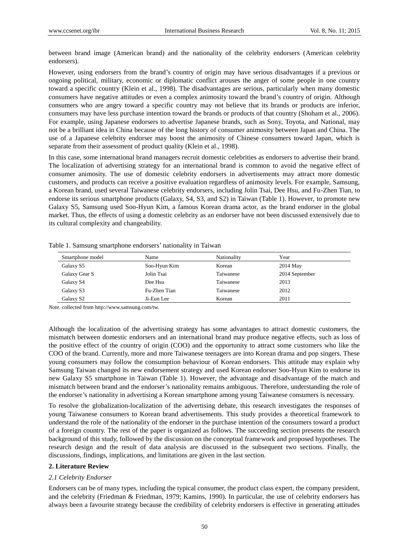between brand image (American brand) and the nationality of the celebrity endorsers (American celebrity endorsers).

However, using endorsers from the brand's country of origin may have serious disadvantages if a previous or ongoing political, military, economic or diplomatic conflict arouses the anger of some people in one country toward a specific country (Klein et al., 1998). The disadvantages are serious, particularly when many domestic consumers have negative attitudes or even a complex animosity toward the brand's country of origin. Although consumers who are angry toward a specific country may not believe that its brands or products are inferior, consumers may have less purchase intention toward the brands or products of that country (Shoham et al., 2006). For example, using Japanese endorsers to advertise Japanese brands, such as Sony, Toyota, and National, may not be a brilliant idea in China because of the long history of consumer animosity between Japan and China. The use of a Japanese celebrity endorser may boost the animosity of Chinese consumers toward Japan, which is separate from their assessment of product quality (Klein et al., 1998).

In this case, some international brand managers recruit domestic celebrities as endorsers to advertise their brand. The localization of advertising strategy for an international brand is common to avoid the negative effect of consumer animosity. The use of domestic celebrity endorsers in advertisements may attract more domestic customers, and products can receive a positive evaluation regardless of animosity levels. For example, Samsung, a Korean brand, used several Taiwanese celebrity endorsers, including Jolin Tsai, Dee Hsu, and Fu-Zhen Tian, to endorse its serious smartphone products (Galaxy, S4, S3, and S2) in Taiwan (Table 1). However, to promote new Galaxy S5, Samsung used Soo-Hyun Kim, a famous Korean drama actor, as the brand endorser in the global market. Thus, the effects of using a domestic celebrity as an endorser have not been discussed extensively due to its cultural complexity and changeability.

| Smartphone model | Name         | Nationality | Year           |
|------------------|--------------|-------------|----------------|
| Galaxy S5        | Soo-Hyun Kim | Korean      | $2014$ May     |
| Galaxy Gear S    | Jolin Tsai   | Taiwanese   | 2014 September |
| Galaxy S4        | Dee Hsu      | Taiwanese   | 2013           |
| Galaxy S3        | Fu-Zhen Tian | Taiwanese   | 2012           |
| Galaxy S2        | Ji-Eun Lee   | Korean      | 2011           |

Table 1. Samsung smartphone endorsers' nationality in Taiwan

*Note.* collected fro[m http://www.samsung.com/tw.](http://www.samsung.com/tw)

Although the localization of the advertising strategy has some advantages to attract domestic customers, the mismatch between domestic endorsers and an international brand may produce negative effects, such as loss of the positive effect of the country of origin (COO) and the opportunity to attract some customers who like the COO of the brand. Currently, more and more Taiwanese teenagers are into Korean drama and pop singers. These young consumers may follow the consumption behaviour of Korean endorsers. This attitude may explain why Samsung Taiwan changed its new endorsement strategy and used Korean endorser Soo-Hyun Kim to endorse its new Galaxy S5 smartphone in Taiwan (Table 1). However, the advantage and disadvantage of the match and mismatch between brand and the endorser's nationality remains ambiguous. Therefore, understanding the role of the endorser's nationality in advertising a Korean smartphone among young Taiwanese consumers is necessary.

To resolve the globalization-localization of the advertising debate, this research investigates the responses of young Taiwanese consumers to Korean brand advertisements. This study provides a theoretical framework to understand the role of the nationality of the endorser in the purchase intention of the consumers toward a product of a foreign country. The rest of the paper is organized as follows. The succeeding section presents the research background of this study, followed by the discussion on the conceptual framework and proposed hypotheses. The research design and the result of data analysis are discussed in the subsequent two sections. Finally, the discussions, findings, implications, and limitations are given in the last section.

# **2. Literature Review**

### *2.1 Celebrity Endorser*

Endorsers can be of many types, including the typical consumer, the product class expert, the company president, and the celebrity (Friedman & Friedman, 1979; Kamins, 1990). In particular, the use of celebrity endorsers has always been a favourite strategy because the credibility of celebrity endorsers is effective in generating attitudes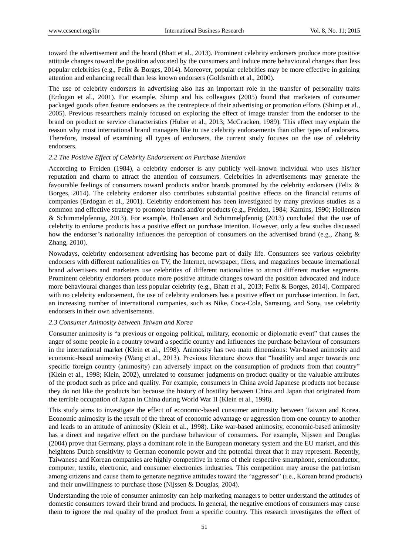toward the advertisement and the brand (Bhatt et al., 2013). Prominent celebrity endorsers produce more positive attitude changes toward the position advocated by the consumers and induce more behavioural changes than less popular celebrities (e.g., Felix & Borges, 2014). Moreover, popular celebrities may be more effective in gaining attention and enhancing recall than less known endorsers (Goldsmith et al., 2000).

The use of celebrity endorsers in advertising also has an important role in the transfer of personality traits (Erdogan et al., 2001). For example, Shimp and his colleagues (2005) found that marketers of consumer packaged goods often feature endorsers as the centrepiece of their advertising or promotion efforts (Shimp et al., 2005). Previous researchers mainly focused on exploring the effect of image transfer from the endorser to the brand on product or service characteristics (Huber et al., 2013; McCracken, 1989). This effect may explain the reason why most international brand managers like to use celebrity endorsements than other types of endorsers. Therefore, instead of examining all types of endorsers, the current study focuses on the use of celebrity endorsers.

# *2.2 The Positive Effect of Celebrity Endorsement on Purchase Intention*

According to Freiden (1984), a celebrity endorser is any publicly well-known individual who uses his/her reputation and charm to attract the attention of consumers. Celebrities in advertisements may generate the favourable feelings of consumers toward products and/or brands promoted by the celebrity endorsers (Felix & Borges, 2014). The celebrity endorser also contributes substantial positive effects on the financial returns of companies (Erdogan et al., 2001). Celebrity endorsement has been investigated by many previous studies as a common and effective strategy to promote brands and/or products (e.g., Freiden, 1984; Kamins, 1990; Hollensen & Schimmelpfennig, 2013). For example, Hollensen and Schimmelpfennig (2013) concluded that the use of celebrity to endorse products has a positive effect on purchase intention. However, only a few studies discussed how the endorser's nationality influences the perception of consumers on the advertised brand (e.g., Zhang & Zhang, 2010).

Nowadays, celebrity endorsement advertising has become part of daily life. Consumers see various celebrity endorsers with different nationalities on TV, the Internet, newspaper, fliers, and magazines because international brand advertisers and marketers use celebrities of different nationalities to attract different market segments. Prominent celebrity endorsers produce more positive attitude changes toward the position advocated and induce more behavioural changes than less popular celebrity (e.g., Bhatt et al., 2013; Felix & Borges, 2014). Compared with no celebrity endorsement, the use of celebrity endorsers has a positive effect on purchase intention. In fact, an increasing number of international companies, such as Nike, Coca-Cola, Samsung, and Sony, use celebrity endorsers in their own advertisements.

# *2.3 Consumer Animosity between Taiwan and Korea*

Consumer animosity is "a previous or ongoing political, military, economic or diplomatic event" that causes the anger of some people in a country toward a specific country and influences the purchase behaviour of consumers in the international market (Klein et al., 1998). Animosity has two main dimensions: War-based animosity and economic-based animosity (Wang et al., 2013). Previous literature shows that "hostility and anger towards one specific foreign country (animosity) can adversely impact on the consumption of products from that country" (Klein et al., 1998; Klein, 2002), unrelated to consumer judgments on product quality or the valuable attributes of the product such as price and quality. For example, consumers in China avoid Japanese products not because they do not like the products but because the history of hostility between China and Japan that originated from the terrible occupation of Japan in China during World War II (Klein et al., 1998).

This study aims to investigate the effect of economic-based consumer animosity between Taiwan and Korea. Economic animosity is the result of the threat of economic advantage or aggression from one country to another and leads to an attitude of animosity (Klein et al., 1998). Like war-based animosity, economic-based animosity has a direct and negative effect on the purchase behaviour of consumers. For example, Nijssen and Douglas (2004) prove that Germany, plays a dominant role in the European monetary system and the EU market, and this heightens Dutch sensitivity to German economic power and the potential threat that it may represent. Recently, Taiwanese and Korean companies are highly competitive in terms of their respective smartphone, semiconductor, computer, textile, electronic, and consumer electronics industries. This competition may arouse the patriotism among citizens and cause them to generate negative attitudes toward the "aggressor" (i.e., Korean brand products) and their unwillingness to purchase those (Nijssen & Douglas, 2004).

Understanding the role of consumer animosity can help marketing managers to better understand the attitudes of domestic consumers toward their brand and products. In general, the negative emotions of consumers may cause them to ignore the real quality of the product from a specific country. This research investigates the effect of

51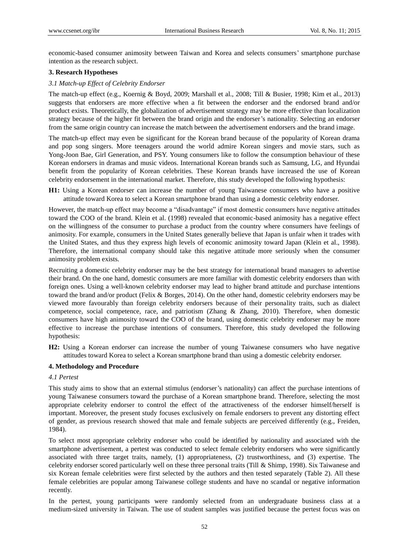economic-based consumer animosity between Taiwan and Korea and selects consumers' smartphone purchase intention as the research subject.

# **3. Research Hypotheses**

# *3.1 Match-up Effect of Celebrity Endorser*

The match-up effect (e.g., Koernig & Boyd, 2009; Marshall et al., 2008; Till & Busier, 1998; Kim et al., 2013) suggests that endorsers are more effective when a fit between the endorser and the endorsed brand and/or product exists. Theoretically, the globalization of advertisement strategy may be more effective than localization strategy because of the higher fit between the brand origin and the endorser's nationality. Selecting an endorser from the same origin country can increase the match between the advertisement endorsers and the brand image.

The match-up effect may even be significant for the Korean brand because of the popularity of Korean drama and pop song singers. More teenagers around the world admire Korean singers and movie stars, such as Yong-Joon Bae, Girl Generation, and PSY. Young consumers like to follow the consumption behaviour of these Korean endorsers in dramas and music videos. International Korean brands such as Samsung, LG, and Hyundai benefit from the popularity of Korean celebrities. These Korean brands have increased the use of Korean celebrity endorsement in the international market. Therefore, this study developed the following hypothesis:

**H1:** Using a Korean endorser can increase the number of young Taiwanese consumers who have a positive attitude toward Korea to select a Korean smartphone brand than using a domestic celebrity endorser.

However, the match-up effect may become a "disadvantage" if most domestic consumers have negative attitudes toward the COO of the brand. Klein et al. (1998) revealed that economic-based animosity has a negative effect on the willingness of the consumer to purchase a product from the country where consumers have feelings of animosity. For example, consumers in the United States generally believe that Japan is unfair when it trades with the United States, and thus they express high levels of economic animosity toward Japan (Klein et al., 1998). Therefore, the international company should take this negative attitude more seriously when the consumer animosity problem exists.

Recruiting a domestic celebrity endorser may be the best strategy for international brand managers to advertise their brand. On the one hand, domestic consumers are more familiar with domestic celebrity endorsers than with foreign ones. Using a well-known celebrity endorser may lead to higher brand attitude and purchase intentions toward the brand and/or product (Felix & Borges, 2014). On the other hand, domestic celebrity endorsers may be viewed more favourably than foreign celebrity endorsers because of their personality traits, such as dialect competence, social competence, race, and patriotism (Zhang & Zhang, 2010). Therefore, when domestic consumers have high animosity toward the COO of the brand, using domestic celebrity endorser may be more effective to increase the purchase intentions of consumers. Therefore, this study developed the following hypothesis:

**H2:** Using a Korean endorser can increase the number of young Taiwanese consumers who have negative attitudes toward Korea to select a Korean smartphone brand than using a domestic celebrity endorser.

#### **4. Methodology and Procedure**

# *4.1 Pertest*

This study aims to show that an external stimulus (endorser's nationality) can affect the purchase intentions of young Taiwanese consumers toward the purchase of a Korean smartphone brand. Therefore, selecting the most appropriate celebrity endorser to control the effect of the attractiveness of the endorser himself/herself is important. Moreover, the present study focuses exclusively on female endorsers to prevent any distorting effect of gender, as previous research showed that male and female subjects are perceived differently (e.g., Freiden, 1984).

To select most appropriate celebrity endorser who could be identified by nationality and associated with the smartphone advertisement, a pertest was conducted to select female celebrity endorsers who were significantly associated with three target traits, namely, (1) appropriateness, (2) trustworthiness, and (3) expertise. The celebrity endorser scored particularly well on these three personal traits (Till & Shimp, 1998). Six Taiwanese and six Korean female celebrities were first selected by the authors and then tested separately (Table 2). All these female celebrities are popular among Taiwanese college students and have no scandal or negative information recently.

In the pertest, young participants were randomly selected from an undergraduate business class at a medium-sized university in Taiwan. The use of student samples was justified because the pertest focus was on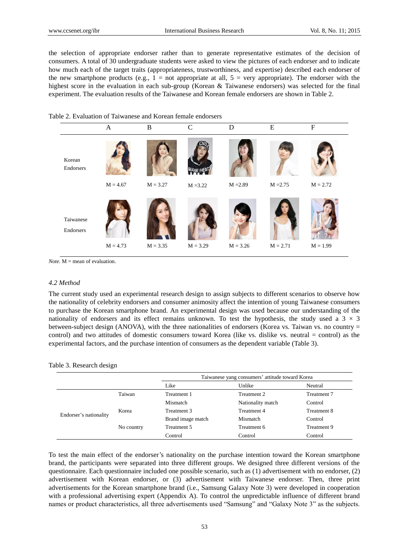the selection of appropriate endorser rather than to generate representative estimates of the decision of consumers. A total of 30 undergraduate students were asked to view the pictures of each endorser and to indicate how much each of the target traits (appropriateness, trustworthiness, and expertise) described each endorser of the new smartphone products (e.g.,  $1 =$  not appropriate at all,  $5 =$  very appropriate). The endorser with the highest score in the evaluation in each sub-group (Korean & Taiwanese endorsers) was selected for the final experiment. The evaluation results of the Taiwanese and Korean female endorsers are shown in Table 2.



Table 2. Evaluation of Taiwanese and Korean female endorsers

*Note.*  $M =$  mean of evaluation.

# *4.2 Method*

The current study used an experimental research design to assign subjects to different scenarios to observe how the nationality of celebrity endorsers and consumer animosity affect the intention of young Taiwanese consumers to purchase the Korean smartphone brand. An experimental design was used because our understanding of the nationality of endorsers and its effect remains unknown. To test the hypothesis, the study used a  $3 \times 3$ between-subject design (ANOVA), with the three nationalities of endorsers (Korea vs. Taiwan vs. no country  $=$ control) and two attitudes of domestic consumers toward Korea (like vs. dislike vs. neutral = control) as the experimental factors, and the purchase intention of consumers as the dependent variable (Table 3).

#### Table 3. Research design

|                        |            | Taiwanese yang consumers' attitude toward Korea |                   |             |
|------------------------|------------|-------------------------------------------------|-------------------|-------------|
|                        |            | Like                                            | Unlike            | Neutral     |
| Endorser's nationality | Taiwan     | Treatment 1                                     | Treatment 2       | Treatment 7 |
|                        |            | Mismatch                                        | Nationality match | Control     |
|                        | Korea      | Treatment 3                                     | Treatment 4       | Treatment 8 |
|                        |            | Brand image match                               | Mismatch          | Control     |
|                        | No country | Treatment 5                                     | Treatment 6       | Treatment 9 |
|                        |            | Control                                         | Control           | Control     |

To test the main effect of the endorser's nationality on the purchase intention toward the Korean smartphone brand, the participants were separated into three different groups. We designed three different versions of the questionnaire. Each questionnaire included one possible scenario, such as (1) advertisement with no endorser, (2) advertisement with Korean endorser, or (3) advertisement with Taiwanese endorser. Then, three print advertisements for the Korean smartphone brand (i.e., Samsung Galaxy Note 3) were developed in cooperation with a professional advertising expert (Appendix A). To control the unpredictable influence of different brand names or product characteristics, all three advertisements used "Samsung" and "Galaxy Note 3" as the subjects.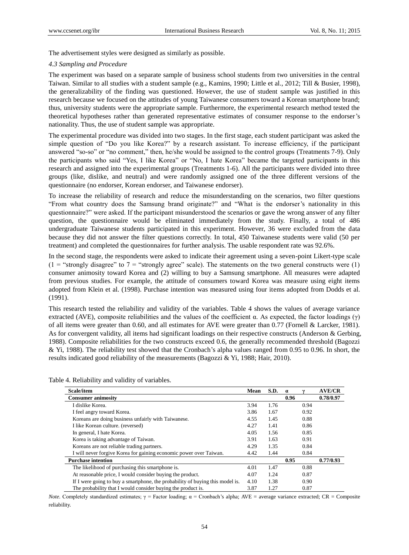The advertisement styles were designed as similarly as possible.

#### *4.3 Sampling and Procedure*

The experiment was based on a separate sample of business school students from two universities in the central Taiwan. Similar to all studies with a student sample (e.g., Kamins, 1990; Little et al., 2012; Till & Busier, 1998), the generalizability of the finding was questioned. However, the use of student sample was justified in this research because we focused on the attitudes of young Taiwanese consumers toward a Korean smartphone brand; thus, university students were the appropriate sample. Furthermore, the experimental research method tested the theoretical hypotheses rather than generated representative estimates of consumer response to the endorser's nationality. Thus, the use of student sample was appropriate.

The experimental procedure was divided into two stages. In the first stage, each student participant was asked the simple question of "Do you like Korea?" by a research assistant. To increase efficiency, if the participant answered "so-so" or "no comment," then, he/she would be assigned to the control groups (Treatments 7-9). Only the participants who said "Yes, I like Korea" or "No, I hate Korea" became the targeted participants in this research and assigned into the experimental groups (Treatments 1-6). All the participants were divided into three groups (like, dislike, and neutral) and were randomly assigned one of the three different versions of the questionnaire (no endorser, Korean endorser, and Taiwanese endorser).

To increase the reliability of research and reduce the misunderstanding on the scenarios, two filter questions "From what country does the Samsung brand originate?" and "What is the endorser's nationality in this questionnaire?" were asked. If the participant misunderstood the scenarios or gave the wrong answer of any filter question, the questionnaire would be eliminated immediately from the study. Finally, a total of 486 undergraduate Taiwanese students participated in this experiment. However, 36 were excluded from the data because they did not answer the filter questions correctly. In total, 450 Taiwanese students were valid (50 per treatment) and completed the questionnaires for further analysis. The usable respondent rate was 92.6%.

In the second stage, the respondents were asked to indicate their agreement using a seven-point Likert-type scale  $(1 =$  "strongly disagree" to  $7 =$  "strongly agree" scale). The statements on the two general constructs were (1) consumer animosity toward Korea and (2) willing to buy a Samsung smartphone. All measures were adapted from previous studies. For example, the attitude of consumers toward Korea was measure using eight items adopted from Klein et al. (1998). Purchase intention was measured using four items adopted from Dodds et al. (1991).

This research tested the reliability and validity of the variables. Table 4 shows the values of average variance extracted (AVE), composite reliabilities and the values of the coefficient  $\alpha$ . As expected, the factor loadings (γ) of all items were greater than 0.60, and all estimates for AVE were greater than 0.77 (Fornell & Larcker, 1981). As for convergent validity, all items had significant loadings on their respective constructs (Anderson & Gerbing, 1988). Composite reliabilities for the two constructs exceed 0.6, the generally recommended threshold (Bagozzi & Yi, 1988). The reliability test showed that the Cronbach's alpha values ranged from 0.95 to 0.96. In short, the results indicated good reliability of the measurements (Bagozzi & Yi, 1988; Hair, 2010).

| Scale/item                                                                    | Mean | S.D. | $\alpha$ |      | <b>AVE/CR</b> |
|-------------------------------------------------------------------------------|------|------|----------|------|---------------|
| <b>Consumer animosity</b>                                                     |      |      | 0.96     |      | 0.78/0.97     |
| I dislike Korea.                                                              | 3.94 | 1.76 |          | 0.94 |               |
| I feel angry toward Korea.                                                    | 3.86 | 1.67 |          | 0.92 |               |
| Koreans are doing business unfairly with Taiwanese.                           | 4.55 | 1.45 |          | 0.88 |               |
| I like Korean culture. (reversed)                                             | 4.27 | 1.41 |          | 0.86 |               |
| In general, I hate Korea.                                                     | 4.05 | 1.56 |          | 0.85 |               |
| Korea is taking advantage of Taiwan.                                          | 3.91 | 1.63 |          | 0.91 |               |
| Koreans are not reliable trading partners.                                    | 4.29 | 1.35 |          | 0.84 |               |
| I will never forgive Korea for gaining economic power over Taiwan.            | 4.42 | 1.44 |          | 0.84 |               |
| <b>Purchase intention</b>                                                     |      |      | 0.95     |      | 0.77/0.93     |
| The likelihood of purchasing this smartphone is.                              | 4.01 | 1.47 |          | 0.88 |               |
| At reasonable price, I would consider buying the product.                     | 4.07 | 1.24 |          | 0.87 |               |
| If I were going to buy a smartphone, the probability of buying this model is. | 4.10 | 1.38 |          | 0.90 |               |
| The probability that I would consider buying the product is.                  | 3.87 | 1.27 |          | 0.87 |               |

Table 4. Reliability and validity of variables.

*Note.* Completely standardized estimates;  $\gamma$  = Factor loading;  $\alpha$  = Cronbach's alpha; AVE = average variance extracted; CR = Composite reliability.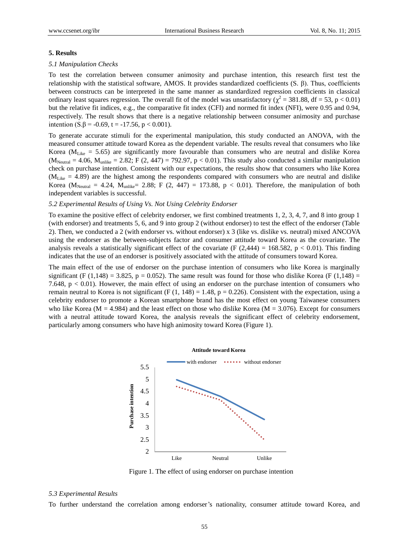#### **5. Results**

#### *5.1 Manipulation Checks*

To test the correlation between consumer animosity and purchase intention, this research first test the relationship with the statistical software, AMOS. It provides standardized coefficients (S. β). Thus, coefficients between constructs can be interpreted in the same manner as standardized regression coefficients in classical ordinary least squares regression. The overall fit of the model was unsatisfactory ( $\chi^2$  = 381.88, df = 53, p < 0.01) but the relative fit indices, e.g., the comparative fit index (CFI) and normed fit index (NFI), were 0.95 and 0.94, respectively. The result shows that there is a negative relationship between consumer animosity and purchase intention (S.β = -0.69, t = -17.56, p < 0.001).

To generate accurate stimuli for the experimental manipulation, this study conducted an ANOVA, with the measured consumer attitude toward Korea as the dependent variable. The results reveal that consumers who like Korea ( $M_{\text{Like}}$  = 5.65) are significantly more favourable than consumers who are neutral and dislike Korea  $(M_{\text{Neural}} = 4.06, M_{\text{unlike}} = 2.82$ ; F (2, 447) = 792.97, p < 0.01). This study also conducted a similar manipulation check on purchase intention. Consistent with our expectations, the results show that consumers who like Korea  $(M<sub>Like</sub> = 4.89)$  are the highest among the respondents compared with consumers who are neutral and dislike Korea (M<sub>Neutral</sub> = 4.24, M<sub>unlike</sub>= 2.88; F (2, 447) = 173.88, p < 0.01). Therefore, the manipulation of both independent variables is successful.

# *5.2 Experimental Results of Using Vs. Not Using Celebrity Endorser*

To examine the positive effect of celebrity endorser, we first combined treatments 1, 2, 3, 4, 7, and 8 into group 1 (with endorser) and treatments 5, 6, and 9 into group 2 (without endorser) to test the effect of the endorser (Table 2). Then, we conducted a 2 (with endorser vs. without endorser) x 3 (like vs. dislike vs. neutral) mixed ANCOVA using the endorser as the between-subjects factor and consumer attitude toward Korea as the covariate. The analysis reveals a statistically significant effect of the covariate (F  $(2,444) = 168.582$ , p < 0.01). This finding indicates that the use of an endorser is positively associated with the attitude of consumers toward Korea.

The main effect of the use of endorser on the purchase intention of consumers who like Korea is marginally significant (F (1,148) = 3.825, p = 0.052). The same result was found for those who dislike Korea (F (1,148) = 7.648,  $p < 0.01$ ). However, the main effect of using an endorser on the purchase intention of consumers who remain neutral to Korea is not significant (F (1, 148) = 1.48,  $p = 0.226$ ). Consistent with the expectation, using a celebrity endorser to promote a Korean smartphone brand has the most effect on young Taiwanese consumers who like Korea ( $M = 4.984$ ) and the least effect on those who dislike Korea ( $M = 3.076$ ). Except for consumers with a neutral attitude toward Korea, the analysis reveals the significant effect of celebrity endorsement, particularly among consumers who have high animosity toward Korea (Figure 1).



Figure 1. The effect of using endorser on purchase intention

#### *5.3 Experimental Results*

To further understand the correlation among endorser's nationality, consumer attitude toward Korea, and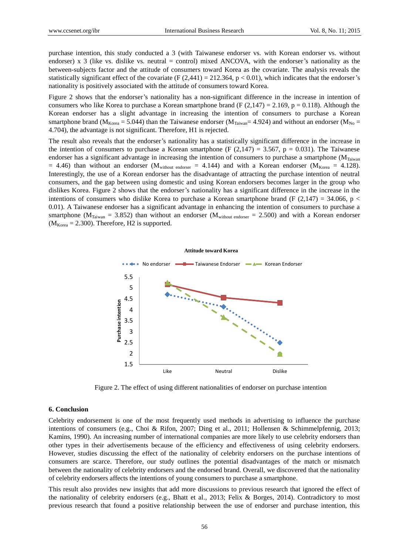purchase intention, this study conducted a 3 (with Taiwanese endorser vs. with Korean endorser vs. without endorser) x 3 (like vs. dislike vs. neutral = control) mixed ANCOVA, with the endorser's nationality as the between-subjects factor and the attitude of consumers toward Korea as the covariate. The analysis reveals the statistically significant effect of the covariate (F  $(2,441) = 212.364$ , p < 0.01), which indicates that the endorser's nationality is positively associated with the attitude of consumers toward Korea.

Figure 2 shows that the endorser's nationality has a non-significant difference in the increase in intention of consumers who like Korea to purchase a Korean smartphone brand (F  $(2,147) = 2.169$ , p = 0.118). Although the Korean endorser has a slight advantage in increasing the intention of consumers to purchase a Korean smartphone brand ( $M_{Korea} = 5.044$ ) than the Taiwanese endorser ( $M_{Taivan} = 4.924$ ) and without an endorser ( $M_{No} =$ 4.704), the advantage is not significant. Therefore, H1 is rejected.

The result also reveals that the endorser's nationality has a statistically significant difference in the increase in the intention of consumers to purchase a Korean smartphone (F  $(2,147) = 3.567$ , p = 0.031). The Taiwanese endorser has a significant advantage in increasing the intention of consumers to purchase a smartphone  $(M<sub>Taiwan</sub>)$  $= 4.46$ ) than without an endorser (M<sub>without endorser</sub>  $= 4.144$ ) and with a Korean endorser (M<sub>Korea</sub>  $= 4.128$ ). Interestingly, the use of a Korean endorser has the disadvantage of attracting the purchase intention of neutral consumers, and the gap between using domestic and using Korean endorsers becomes larger in the group who dislikes Korea. Figure 2 shows that the endorser's nationality has a significant difference in the increase in the intentions of consumers who dislike Korea to purchase a Korean smartphone brand (F  $(2,147) = 34.066$ , p < 0.01). A Taiwanese endorser has a significant advantage in enhancing the intention of consumers to purchase a smartphone ( $M_{Tiuwan}$  = 3.852) than without an endorser ( $M_{without endorser}$  = 2.500) and with a Korean endorser  $(M<sub>Korea</sub> = 2.300)$ . Therefore, H2 is supported.



Figure 2. The effect of using different nationalities of endorser on purchase intention

# **6. Conclusion**

Celebrity endorsement is one of the most frequently used methods in advertising to influence the purchase intentions of consumers (e.g., Choi & Rifon, 2007; Ding et al., 2011; Hollensen & Schimmelpfennig, 2013; Kamins, 1990). An increasing number of international companies are more likely to use celebrity endorsers than other types in their advertisements because of the efficiency and effectiveness of using celebrity endorsers. However, studies discussing the effect of the nationality of celebrity endorsers on the purchase intentions of consumers are scarce. Therefore, our study outlines the potential disadvantages of the match or mismatch between the nationality of celebrity endorsers and the endorsed brand. Overall, we discovered that the nationality of celebrity endorsers affects the intentions of young consumers to purchase a smartphone.

This result also provides new insights that add more discussions to previous research that ignored the effect of the nationality of celebrity endorsers (e.g., Bhatt et al., 2013; Felix & Borges, 2014). Contradictory to most previous research that found a positive relationship between the use of endorser and purchase intention, this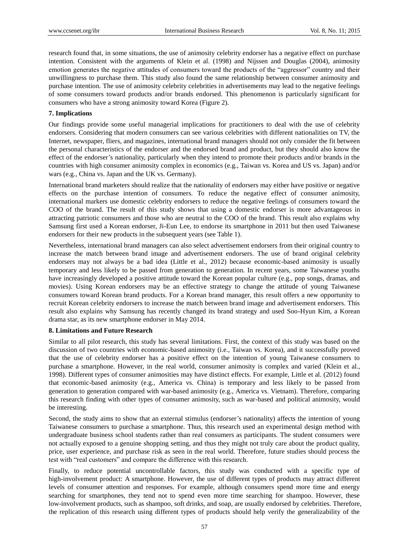research found that, in some situations, the use of animosity celebrity endorser has a negative effect on purchase intention. Consistent with the arguments of Klein et al. (1998) and Nijssen and Douglas (2004), animosity emotion generates the negative attitudes of consumers toward the products of the "aggressor" country and their unwillingness to purchase them. This study also found the same relationship between consumer animosity and purchase intention. The use of animosity celebrity celebrities in advertisements may lead to the negative feelings of some consumers toward products and/or brands endorsed. This phenomenon is particularly significant for consumers who have a strong animosity toward Korea (Figure 2).

# **7. Implications**

Our findings provide some useful managerial implications for practitioners to deal with the use of celebrity endorsers. Considering that modern consumers can see various celebrities with different nationalities on TV, the Internet, newspaper, fliers, and magazines, international brand managers should not only consider the fit between the personal characteristics of the endorser and the endorsed brand and product, but they should also know the effect of the endorser's nationality, particularly when they intend to promote their products and/or brands in the countries with high consumer animosity complex in economics (e.g., Taiwan vs. Korea and US vs. Japan) and/or wars (e.g., China vs. Japan and the UK vs. Germany).

International brand marketers should realize that the nationality of endorsers may either have positive or negative effects on the purchase intention of consumers. To reduce the negative effect of consumer animosity, international markers use domestic celebrity endorsers to reduce the negative feelings of consumers toward the COO of the brand. The result of this study shows that using a domestic endorser is more advantageous in attracting patriotic consumers and those who are neutral to the COO of the brand. This result also explains why Samsung first used a Korean endorser, Ji-Eun Lee, to endorse its smartphone in 2011 but then used Taiwanese endorsers for their new products in the subsequent years (see Table 1).

Nevertheless, international brand managers can also select advertisement endorsers from their original country to increase the match between brand image and advertisement endorsers. The use of brand original celebrity endorsers may not always be a bad idea (Little et al., 2012) because economic-based animosity is usually temporary and less likely to be passed from generation to generation. In recent years, some Taiwanese youths have increasingly developed a positive attitude toward the Korean popular culture (e.g., pop songs, dramas, and movies). Using Korean endorsers may be an effective strategy to change the attitude of young Taiwanese consumers toward Korean brand products. For a Korean brand manager, this result offers a new opportunity to recruit Korean celebrity endorsers to increase the match between brand image and advertisement endorsers. This result also explains why Samsung has recently changed its brand strategy and used Soo-Hyun Kim, a Korean drama star, as its new smartphone endorser in May 2014.

# **8. Limitations and Future Research**

Similar to all pilot research, this study has several limitations. First, the context of this study was based on the discussion of two countries with economic-based animosity (i.e., Taiwan vs. Korea), and it successfully proved that the use of celebrity endorser has a positive effect on the intention of young Taiwanese consumers to purchase a smartphone. However, in the real world, consumer animosity is complex and varied (Klein et al., 1998). Different types of consumer animosities may have distinct effects. For example, Little et al. (2012) found that economic-based animosity (e.g., America vs. China) is temporary and less likely to be passed from generation to generation compared with war-based animosity (e.g., America vs. Vietnam). Therefore, comparing this research finding with other types of consumer animosity, such as war-based and political animosity, would be interesting.

Second, the study aims to show that an external stimulus (endorser's nationality) affects the intention of young Taiwanese consumers to purchase a smartphone. Thus, this research used an experimental design method with undergraduate business school students rather than real consumers as participants. The student consumers were not actually exposed to a genuine shopping setting, and thus they might not truly care about the product quality, price, user experience, and purchase risk as seen in the real world. Therefore, future studies should process the test with "real customers" and compare the difference with this research.

Finally, to reduce potential uncontrollable factors, this study was conducted with a specific type of high-involvement product: A smartphone. However, the use of different types of products may attract different levels of consumer attention and responses. For example, although consumers spend more time and energy searching for smartphones, they tend not to spend even more time searching for shampoo. However, these low-involvement products, such as shampoo, soft drinks, and soap, are usually endorsed by celebrities. Therefore, the replication of this research using different types of products should help verify the generalizability of the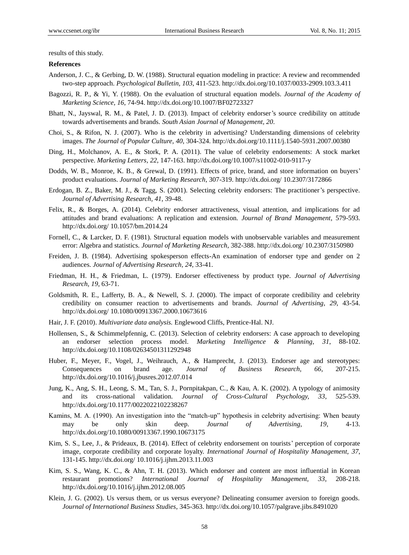results of this study.

#### **References**

- Anderson, J. C., & Gerbing, D. W. (1988). Structural equation modeling in practice: A review and recommended two-step approach. *Psychological Bulletin, 103*, 411-523. http://dx.doi.org/10.1037/0033-2909.103.3.411
- Bagozzi, R. P., & Yi, Y. (1988). On the evaluation of structural equation models. *Journal of the Academy of Marketing Science, 16*, 74-94. http://dx.doi.org/10.1007/BF02723327
- Bhatt, N., Jayswal, R. M., & Patel, J. D. (2013). Impact of celebrity endorser's source credibility on attitude towards advertisements and brands. *South Asian Journal of Management, 20*.
- Choi, S., & Rifon, N. J. (2007). Who is the celebrity in advertising? Understanding dimensions of celebrity images. *The Journal of Popular Culture, 40*, 304-324. http://dx.doi.org/10.1111/j.1540-5931.2007.00380
- Ding, H., Molchanov, A. E., & Stork, P. A. (2011). The value of celebrity endorsements: A stock market perspective. *Marketing Letters, 22*, 147-163. http://dx.doi.org/10.1007/s11002-010-9117-y
- Dodds, W. B., Monroe, K. B., & Grewal, D. (1991). Effects of price, brand, and store information on buyers' product evaluations. *Journal of Marketing Research*, 307-319. http://dx.doi.org/ 10.2307/3172866
- Erdogan, B. Z., Baker, M. J., & Tagg, S. (2001). Selecting celebrity endorsers: The practitioner's perspective. *Journal of Advertising Research, 41*, 39-48.
- Felix, R., & Borges, A. (2014). Celebrity endorser attractiveness, visual attention, and implications for ad attitudes and brand evaluations: A replication and extension. *Journal of Brand Management*, 579-593. http://dx.doi.org/ 10.1057/bm.2014.24
- Fornell, C., & Larcker, D. F. (1981). Structural equation models with unobservable variables and measurement error: Algebra and statistics. *Journal of Marketing Research*, 382-388. http://dx.doi.org/ 10.2307/3150980
- Freiden, J. B. (1984). Advertising spokesperson effects-An examination of endorser type and gender on 2 audiences. *Journal of Advertising Research, 24*, 33-41.
- Friedman, H. H., & Friedman, L. (1979). Endorser effectiveness by product type. *Journal of Advertising Research, 19*, 63-71.
- Goldsmith, R. E., Lafferty, B. A., & Newell, S. J. (2000). The impact of corporate credibility and celebrity credibility on consumer reaction to advertisements and brands. *Journal of Advertising, 29*, 43-54. http://dx.doi.org/ 10.1080/00913367.2000.10673616
- Hair, J. F. (2010). *Multivariate data analysis.* Englewood Cliffs, Prentice-Hal. NJ.
- Hollensen, S., & Schimmelpfennig, C. (2013). Selection of celebrity endorsers: A case approach to developing an endorser selection process model. *Marketing Intelligence & Planning, 31*, 88-102. http://dx.doi.org/10.1108/02634501311292948
- Huber, F., Meyer, F., Vogel, J., Weihrauch, A., & Hamprecht, J. (2013). Endorser age and stereotypes: Consequences on brand age. *Journal of Business Research, 66,* 207-215. http://dx.doi.org/10.1016/j.jbusres.2012.07.014
- Jung, K., Ang, S. H., Leong, S. M., Tan, S. J., Pornpitakpan, C., & Kau, A. K. (2002). A typology of animosity and its cross-national validation. *Journal of Cross-Cultural Psychology, 33*, 525-539. http://dx.doi.org/10.1177/0022022102238267
- Kamins, M. A. (1990). An investigation into the "match-up" hypothesis in celebrity advertising: When beauty may be only skin deep. *Journal of Advertising, 19*, 4-13. http://dx.doi.org/10.1080/00913367.1990.10673175
- Kim, S. S., Lee, J., & Prideaux, B. (2014). Effect of celebrity endorsement on tourists' perception of corporate image, corporate credibility and corporate loyalty. *International Journal of Hospitality Management, 37*, 131-145. http://dx.doi.org/ 10.1016/j.ijhm.2013.11.003
- Kim, S. S., Wang, K. C., & Ahn, T. H. (2013). Which endorser and content are most influential in Korean restaurant promotions? *International Journal of Hospitality Management, 33*, 208-218. http://dx.doi.org/10.1016/j.ijhm.2012.08.005
- Klein, J. G. (2002). Us versus them, or us versus everyone? Delineating consumer aversion to foreign goods. *Journal of International Business Studies*, 345-363.<http://dx.doi.org/10.1057/palgrave.jibs.8491020>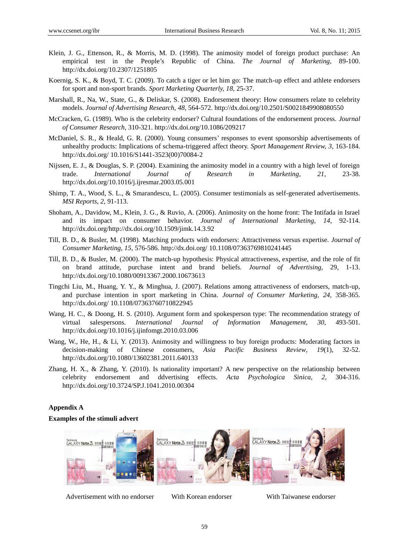- Klein, J. G., Ettenson, R., & Morris, M. D. (1998). The animosity model of foreign product purchase: An empirical test in the People's Republic of China. *The Journal of Marketing*, 89-100. http://dx.doi.org/10.2307/1251805
- Koernig, S. K., & Boyd, T. C. (2009). To catch a tiger or let him go: The match-up effect and athlete endorsers for sport and non-sport brands. *Sport Marketing Quarterly, 18*, 25-37.
- Marshall, R., Na, W., State, G., & Deliskar, S. (2008). Endorsement theory: How consumers relate to celebrity models. *Journal of Advertising Research, 48,* 564-572. http://dx.doi.org/10.2501/S0021849908080550
- McCracken, G. (1989). Who is the celebrity endorser? Cultural foundations of the endorsement process. *Journal of Consumer Research*, 310-321.<http://dx.doi.org/10.1086/209217>
- McDaniel, S. R., & Heald, G. R. (2000). Young consumers' responses to event sponsorship advertisements of unhealthy products: Implications of schema-triggered affect theory. *Sport Management Review, 3*, 163-184. http://dx.doi.org/ 10.1016/S1441-3523(00)70084-2
- Nijssen, E. J., & Douglas, S. P. (2004). Examining the animosity model in a country with a high level of foreign trade. *International Journal of Research in Marketing, 21,* 23-38. http://dx.doi.org/10.1016/j.ijresmar.2003.05.001
- Shimp, T. A., Wood, S. L., & Smarandescu, L. (2005). Consumer testimonials as self-generated advertisements. *MSI Reports*, *2*, 91-113.
- Shoham, A., Davidow, M., Klein, J. G., & Ruvio, A. (2006). Animosity on the home front: The Intifada in Israel and its impact on consumer behavior. *Journal of International Marketing, 14,* 92-114. http://dx.doi.org/http://dx.doi.org/10.1509/jimk.14.3.92
- Till, B. D., & Busler, M. (1998). Matching products with endorsers: Attractiveness versus expertise. *Journal of Consumer Marketing, 15,* 576-586. http://dx.doi.org/ 10.1108/07363769810241445
- Till, B. D., & Busler, M. (2000). The match-up hypothesis: Physical attractiveness, expertise, and the role of fit on brand attitude, purchase intent and brand beliefs. *Journal of Advertising,* 29, 1-13. http://dx.doi.org/10.1080/00913367.2000.10673613
- Tingchi Liu, M., Huang, Y. Y., & Minghua, J. (2007). Relations among attractiveness of endorsers, match-up, and purchase intention in sport marketing in China. *Journal of Consumer Marketing, 24,* 358-365. http://dx.doi.org/ 10.1108/07363760710822945
- Wang, H. C., & Doong, H. S. (2010). Argument form and spokesperson type: The recommendation strategy of virtual salespersons. *International Journal of Information Management, 30*, 493-501. http://dx.doi.org/10.1016/j.ijinfomgt.2010.03.006
- Wang, W., He, H., & Li, Y. (2013). Animosity and willingness to buy foreign products: Moderating factors in decision-making of Chinese consumers, *Asia Pacific Business Review*, *19*(1), 32-52. http://dx.doi.org/10.1080/13602381.2011.640133
- Zhang, H. X., & Zhang, Y. (2010). Is nationality important? A new perspective on the relationship between celebrity endorsement and ddvertising effects. *Acta Psychologica Sinica, 2*, 304-316. <http://dx.doi.org/10.3724/SP.J.1041.2010.00304>

# **Appendix A**

# **Examples of the stimuli advert**



Advertisement with no endorser With Korean endorser With Taiwanese endorser